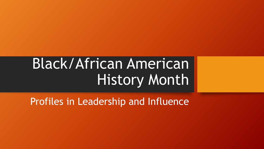# Black/African American History Month

Profiles in Leadership and Influence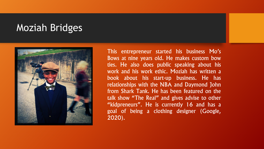### Moziah Bridges



This entrepreneur started his business Mo's Bows at nine years old. He makes custom bow ties. He also does public speaking about his work and his work ethic. Moziah has written a book about his start-up business. He has relationships with the NBA and Daymond John from Shark Tank. He has been featured on the talk show "The Real" and gives advise to other "kidpreneurs". He is currently 16 and has a goal of being a clothing designer (Google, 2020).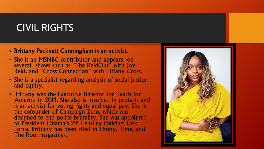## CIVIL RIGHTS

- Brittany Packnett Cunningham is an activist.
- She is an MSNBC contributor and appears on several shows such as "The ReidOut" with Joy Reid, and "Cross Connection" with Tiffany Cross.
- She is a specialist regarding analysis of social justice and equity.
- Brittany was the Executive Director for Teach for America in 2014. She also is involved in protests and is an activist for voting rights and equal pay. She is the cofounder of Campaign Zero, which was designed to end police brutality. She was appointed to President Obama's 21st Century Policing Task Force. Brittany has been cited in Ebony, Time, and The Root magazines.

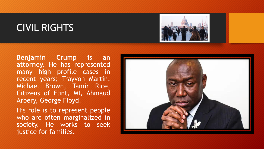## CIVIL RIGHTS



**Benjamin Crump is an attorney.** He has represented many high profile cases in recent years; Trayvon Martin, Michael Brown, Tamir Rice, Citizens of Flint, MI, Ahmaud Arbery, George Floyd.

His role is to represent people who are often marginalized in society. He works to seek justice for families.

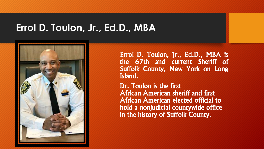#### **Errol D. Toulon, Jr., Ed.D., MBA**



Errol D. Toulon, Jr., Ed.D., MBA is the 67th and current Sheriff of Suffolk County, New York on Long Island.

Dr. Toulon is the first African American sheriff and first African American elected official to hold a nonjudicial countywide office in the history of Suffolk County.